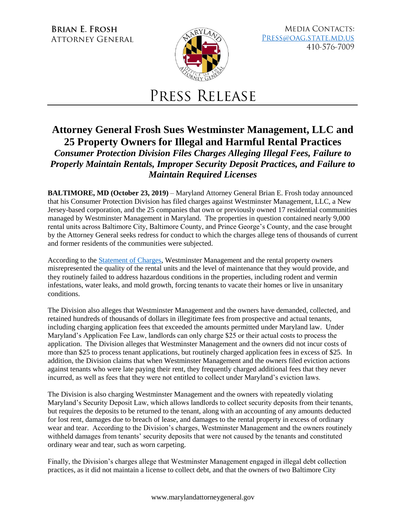**BRIAN E. FROSH ATTORNEY GENERAL** 



**MEDIA CONTACTS:** PRESS@OAG.STATE.MD.US 410-576-7009

## PRESS RELEASE

## **Attorney General Frosh Sues Westminster Management, LLC and 25 Property Owners for Illegal and Harmful Rental Practices**  *Consumer Protection Division Files Charges Alleging Illegal Fees, Failure to Properly Maintain Rentals, Improper Security Deposit Practices, and Failure to*

*Maintain Required Licenses* 

**BALTIMORE, MD (October 23, 2019)** – Maryland Attorney General Brian E. Frosh today announced that his Consumer Protection Division has filed charges against Westminster Management, LLC, a New Jersey-based corporation, and the 25 companies that own or previously owned 17 residential communities managed by Westminster Management in Maryland. The properties in question contained nearly 9,000 rental units across Baltimore City, Baltimore County, and Prince George's County, and the case brought by the Attorney General seeks redress for conduct to which the charges allege tens of thousands of current and former residents of the communities were subjected.

According to th[e Statement of Charges,](http://www.marylandattorneygeneral.gov/News%20Documents/102319_WM_SOC.pdf) Westminster Management and the rental property owners misrepresented the quality of the rental units and the level of maintenance that they would provide, and they routinely failed to address hazardous conditions in the properties, including rodent and vermin infestations, water leaks, and mold growth, forcing tenants to vacate their homes or live in unsanitary conditions.

The Division also alleges that Westminster Management and the owners have demanded, collected, and retained hundreds of thousands of dollars in illegitimate fees from prospective and actual tenants, including charging application fees that exceeded the amounts permitted under Maryland law. Under Maryland's Application Fee Law, landlords can only charge \$25 or their actual costs to process the application. The Division alleges that Westminster Management and the owners did not incur costs of more than \$25 to process tenant applications, but routinely charged application fees in excess of \$25. In addition, the Division claims that when Westminster Management and the owners filed eviction actions against tenants who were late paying their rent, they frequently charged additional fees that they never incurred, as well as fees that they were not entitled to collect under Maryland's eviction laws.

The Division is also charging Westminster Management and the owners with repeatedly violating Maryland's Security Deposit Law, which allows landlords to collect security deposits from their tenants, but requires the deposits to be returned to the tenant, along with an accounting of any amounts deducted for lost rent, damages due to breach of lease, and damages to the rental property in excess of ordinary wear and tear. According to the Division's charges, Westminster Management and the owners routinely withheld damages from tenants' security deposits that were not caused by the tenants and constituted ordinary wear and tear, such as worn carpeting.

Finally, the Division's charges allege that Westminster Management engaged in illegal debt collection practices, as it did not maintain a license to collect debt, and that the owners of two Baltimore City